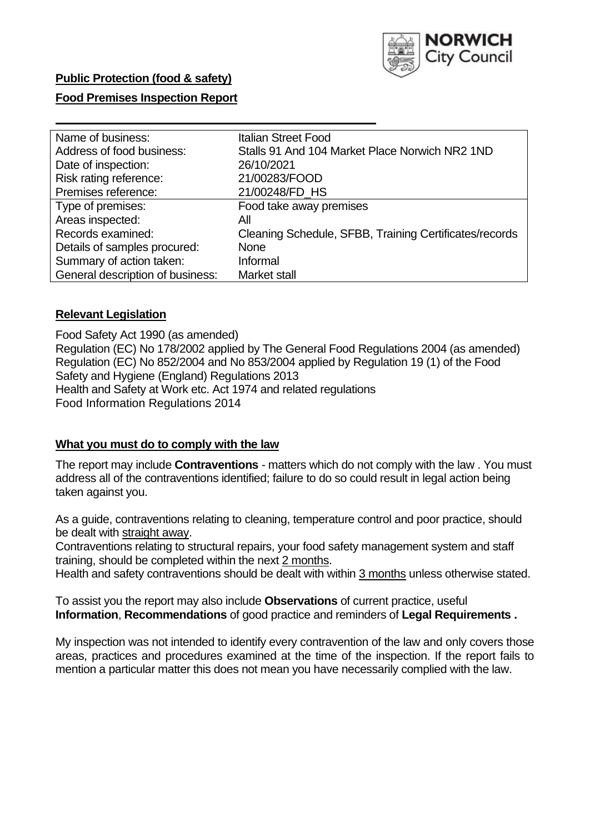

# **Public Protection (food & safety)**

## **Food Premises Inspection Report**

| Name of business:                | <b>Italian Street Food</b>                             |
|----------------------------------|--------------------------------------------------------|
| Address of food business:        | Stalls 91 And 104 Market Place Norwich NR2 1ND         |
| Date of inspection:              | 26/10/2021                                             |
| Risk rating reference:           | 21/00283/FOOD                                          |
| Premises reference:              | 21/00248/FD HS                                         |
| Type of premises:                | Food take away premises                                |
| Areas inspected:                 | All                                                    |
| Records examined:                | Cleaning Schedule, SFBB, Training Certificates/records |
| Details of samples procured:     | <b>None</b>                                            |
| Summary of action taken:         | Informal                                               |
| General description of business: | Market stall                                           |

## **Relevant Legislation**

 Food Safety Act 1990 (as amended) Regulation (EC) No 178/2002 applied by The General Food Regulations 2004 (as amended) Regulation (EC) No 852/2004 and No 853/2004 applied by Regulation 19 (1) of the Food Safety and Hygiene (England) Regulations 2013 Health and Safety at Work etc. Act 1974 and related regulations Food Information Regulations 2014

### **What you must do to comply with the law**

 The report may include **Contraventions** - matters which do not comply with the law . You must address all of the contraventions identified; failure to do so could result in legal action being taken against you.

 As a guide, contraventions relating to cleaning, temperature control and poor practice, should be dealt with straight away.

 Contraventions relating to structural repairs, your food safety management system and staff training, should be completed within the next 2 months.

Health and safety contraventions should be dealt with within 3 months unless otherwise stated.

 To assist you the report may also include **Observations** of current practice, useful **Information**, **Recommendations** of good practice and reminders of **Legal Requirements .** 

 My inspection was not intended to identify every contravention of the law and only covers those areas, practices and procedures examined at the time of the inspection. If the report fails to mention a particular matter this does not mean you have necessarily complied with the law.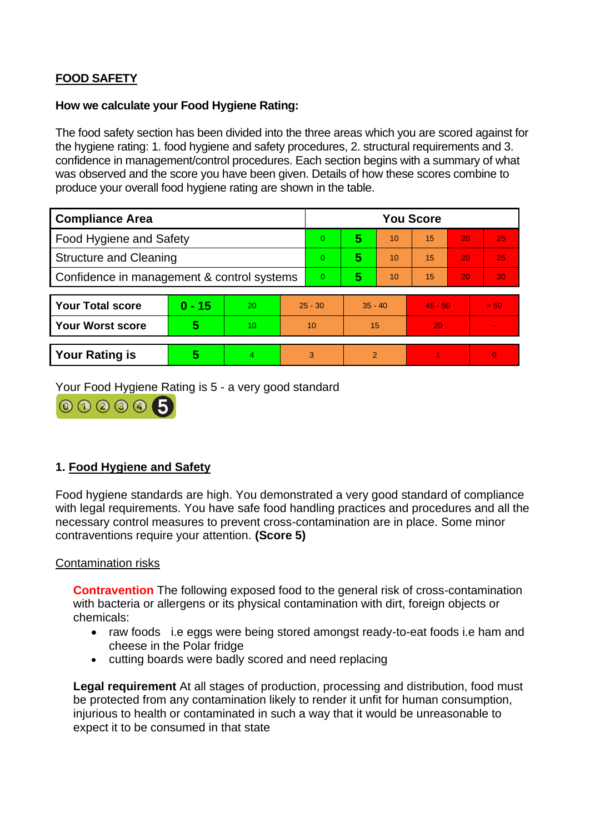# **FOOD SAFETY**

### **How we calculate your Food Hygiene Rating:**

 The food safety section has been divided into the three areas which you are scored against for the hygiene rating: 1. food hygiene and safety procedures, 2. structural requirements and 3. confidence in management/control procedures. Each section begins with a summary of what was observed and the score you have been given. Details of how these scores combine to produce your overall food hygiene rating are shown in the table.

| <b>Compliance Area</b>                     |          |    |           | <b>You Score</b> |                |    |           |    |                |  |  |
|--------------------------------------------|----------|----|-----------|------------------|----------------|----|-----------|----|----------------|--|--|
| Food Hygiene and Safety                    |          |    | $\Omega$  | 5                | 10             | 15 | 20        | 25 |                |  |  |
| <b>Structure and Cleaning</b>              |          |    | $\Omega$  | 5                | 10             | 15 | 20        | 25 |                |  |  |
| Confidence in management & control systems |          |    | $\Omega$  | 5                | 10             | 15 | 20        | 30 |                |  |  |
|                                            |          |    |           |                  |                |    |           |    |                |  |  |
| <b>Your Total score</b>                    | $0 - 15$ | 20 | $25 - 30$ |                  | $35 - 40$      |    | $45 - 50$ |    | > 50           |  |  |
| Your Worst score                           | 5        | 10 | 10        |                  | 15             |    | 20        |    | $\blacksquare$ |  |  |
|                                            |          |    |           |                  |                |    |           |    |                |  |  |
| <b>Your Rating is</b>                      | 5        | 4  | 3         |                  | $\overline{2}$ |    |           |    | $\Omega$       |  |  |

Your Food Hygiene Rating is 5 - a very good standard



# **1. Food Hygiene and Safety**

 with legal requirements. You have safe food handling practices and procedures and all the Food hygiene standards are high. You demonstrated a very good standard of compliance necessary control measures to prevent cross-contamination are in place. Some minor contraventions require your attention. **(Score 5)** 

## Contamination risks

 **Contravention** The following exposed food to the general risk of cross-contamination with bacteria or allergens or its physical contamination with dirt, foreign objects or chemicals:

- • raw foods i.e eggs were being stored amongst ready-to-eat foods i.e ham and cheese in the Polar fridge
- cutting boards were badly scored and need replacing

 injurious to health or contaminated in such a way that it would be unreasonable to **Legal requirement** At all stages of production, processing and distribution, food must be protected from any contamination likely to render it unfit for human consumption, expect it to be consumed in that state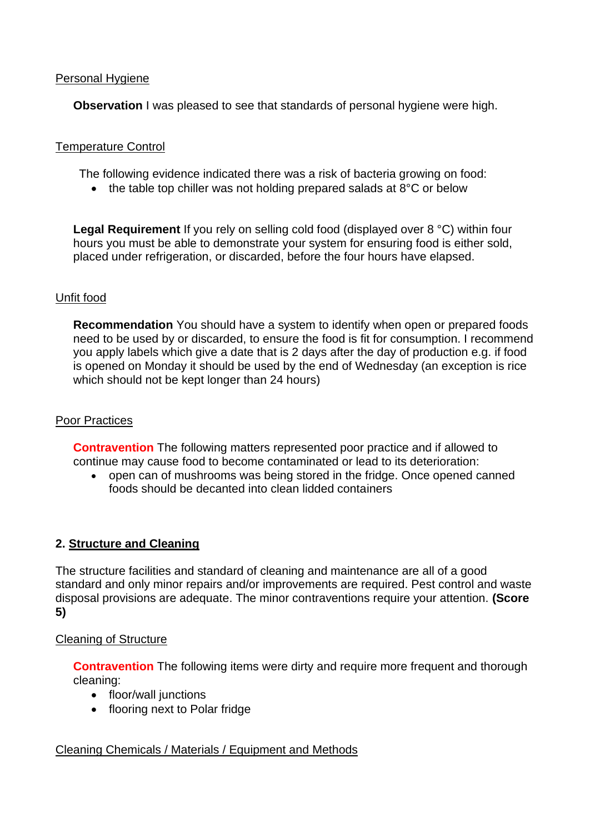## Personal Hygiene

**Observation** I was pleased to see that standards of personal hygiene were high.

# Temperature Control

The following evidence indicated there was a risk of bacteria growing on food:

• the table top chiller was not holding prepared salads at 8°C or below

 hours you must be able to demonstrate your system for ensuring food is either sold, **Legal Requirement** If you rely on selling cold food (displayed over 8 °C) within four placed under refrigeration, or discarded, before the four hours have elapsed.

# Unfit food

**Recommendation** You should have a system to identify when open or prepared foods need to be used by or discarded, to ensure the food is fit for consumption. I recommend you apply labels which give a date that is 2 days after the day of production e.g. if food is opened on Monday it should be used by the end of Wednesday (an exception is rice which should not be kept longer than 24 hours)

# Poor Practices

 **Contravention** The following matters represented poor practice and if allowed to continue may cause food to become contaminated or lead to its deterioration:

• open can of mushrooms was being stored in the fridge. Once opened canned foods should be decanted into clean lidded containers

# **2. Structure and Cleaning**

 The structure facilities and standard of cleaning and maintenance are all of a good standard and only minor repairs and/or improvements are required. Pest control and waste disposal provisions are adequate. The minor contraventions require your attention. **(Score 5)** 

## Cleaning of Structure

**Contravention** The following items were dirty and require more frequent and thorough cleaning:

- floor/wall junctions
- flooring next to Polar fridge

# Cleaning Chemicals / Materials / Equipment and Methods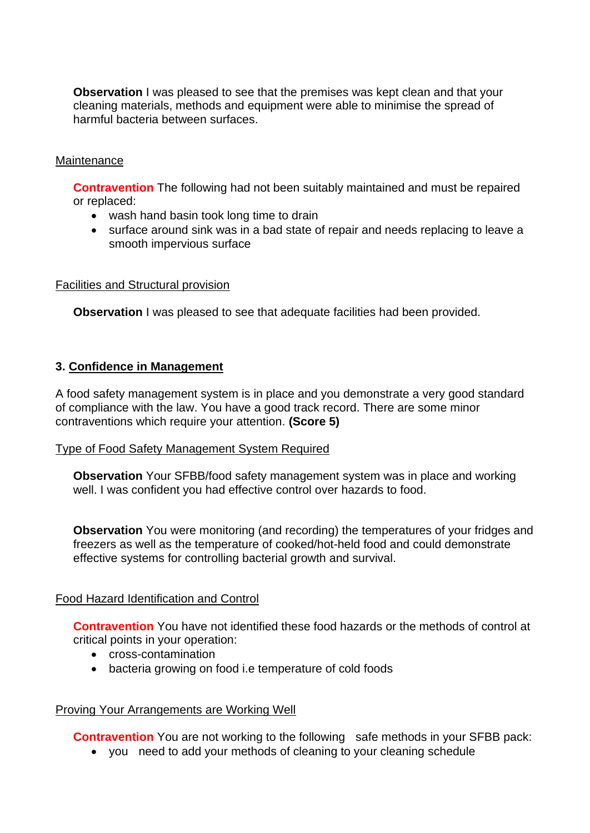**Observation** I was pleased to see that the premises was kept clean and that your cleaning materials, methods and equipment were able to minimise the spread of harmful bacteria between surfaces.

### **Maintenance**

**Contravention** The following had not been suitably maintained and must be repaired or replaced:

- wash hand basin took long time to drain
- surface around sink was in a bad state of repair and needs replacing to leave a smooth impervious surface

### Facilities and Structural provision

**Observation** I was pleased to see that adequate facilities had been provided.

### **3. Confidence in Management**

A food safety management system is in place and you demonstrate a very good standard of compliance with the law. You have a good track record. There are some minor contraventions which require your attention. **(Score 5)** 

### Type of Food Safety Management System Required

**Observation** Your SFBB/food safety management system was in place and working well. I was confident you had effective control over hazards to food.

**Observation** You were monitoring (and recording) the temperatures of your fridges and freezers as well as the temperature of cooked/hot-held food and could demonstrate effective systems for controlling bacterial growth and survival.

### Food Hazard Identification and Control

**Contravention** You have not identified these food hazards or the methods of control at critical points in your operation:

- cross-contamination
- bacteria growing on food i.e temperature of cold foods

### Proving Your Arrangements are Working Well

**Contravention** You are not working to the following safe methods in your SFBB pack:

• you need to add your methods of cleaning to your cleaning schedule